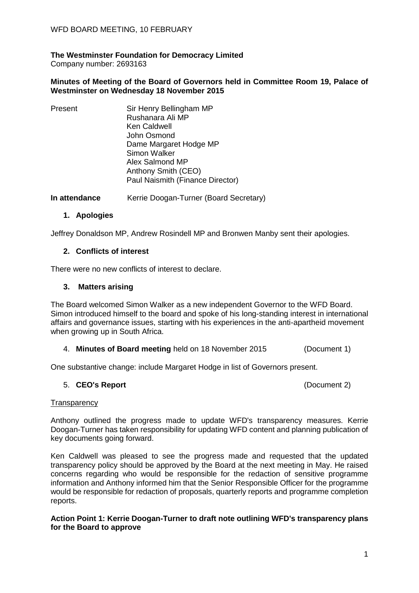## **The Westminster Foundation for Democracy Limited**

Company number: 2693163

#### **Minutes of Meeting of the Board of Governors held in Committee Room 19, Palace of Westminster on Wednesday 18 November 2015**

| Present | Sir Henry Bellingham MP          |
|---------|----------------------------------|
|         | Rushanara Ali MP                 |
|         | <b>Ken Caldwell</b>              |
|         | John Osmond                      |
|         | Dame Margaret Hodge MP           |
|         | Simon Walker                     |
|         | Alex Salmond MP                  |
|         | Anthony Smith (CEO)              |
|         | Paul Naismith (Finance Director) |
|         |                                  |

**In attendance** Kerrie Doogan-Turner (Board Secretary)

### **1. Apologies**

Jeffrey Donaldson MP, Andrew Rosindell MP and Bronwen Manby sent their apologies.

### **2. Conflicts of interest**

There were no new conflicts of interest to declare.

### **3. Matters arising**

The Board welcomed Simon Walker as a new independent Governor to the WFD Board. Simon introduced himself to the board and spoke of his long-standing interest in international affairs and governance issues, starting with his experiences in the anti-apartheid movement when growing up in South Africa.

#### 4. **Minutes of Board meeting** held on 18 November 2015 (Document 1)

One substantive change: include Margaret Hodge in list of Governors present.

#### 5. **CEO's Report** (Document 2)

#### **Transparency**

Anthony outlined the progress made to update WFD's transparency measures. Kerrie Doogan-Turner has taken responsibility for updating WFD content and planning publication of key documents going forward.

Ken Caldwell was pleased to see the progress made and requested that the updated transparency policy should be approved by the Board at the next meeting in May. He raised concerns regarding who would be responsible for the redaction of sensitive programme information and Anthony informed him that the Senior Responsible Officer for the programme would be responsible for redaction of proposals, quarterly reports and programme completion reports.

#### **Action Point 1: Kerrie Doogan-Turner to draft note outlining WFD's transparency plans for the Board to approve**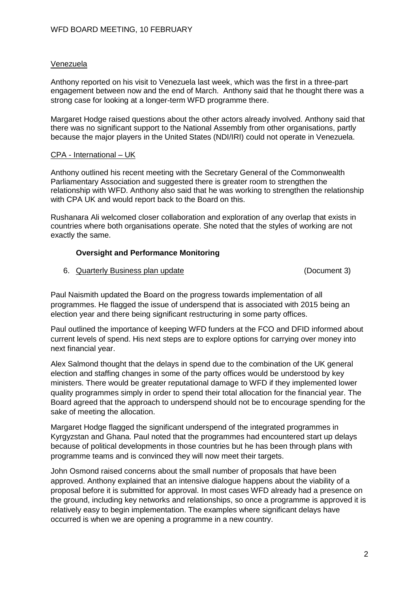#### Venezuela

Anthony reported on his visit to Venezuela last week, which was the first in a three-part engagement between now and the end of March. Anthony said that he thought there was a strong case for looking at a longer-term WFD programme there.

Margaret Hodge raised questions about the other actors already involved. Anthony said that there was no significant support to the National Assembly from other organisations, partly because the major players in the United States (NDI/IRI) could not operate in Venezuela.

#### CPA - International – UK

Anthony outlined his recent meeting with the Secretary General of the Commonwealth Parliamentary Association and suggested there is greater room to strengthen the relationship with WFD. Anthony also said that he was working to strengthen the relationship with CPA UK and would report back to the Board on this.

Rushanara Ali welcomed closer collaboration and exploration of any overlap that exists in countries where both organisations operate. She noted that the styles of working are not exactly the same.

### **Oversight and Performance Monitoring**

6. Quarterly Business plan update (Document 3)

Paul Naismith updated the Board on the progress towards implementation of all programmes. He flagged the issue of underspend that is associated with 2015 being an election year and there being significant restructuring in some party offices.

Paul outlined the importance of keeping WFD funders at the FCO and DFID informed about current levels of spend. His next steps are to explore options for carrying over money into next financial year.

Alex Salmond thought that the delays in spend due to the combination of the UK general election and staffing changes in some of the party offices would be understood by key ministers. There would be greater reputational damage to WFD if they implemented lower quality programmes simply in order to spend their total allocation for the financial year. The Board agreed that the approach to underspend should not be to encourage spending for the sake of meeting the allocation.

Margaret Hodge flagged the significant underspend of the integrated programmes in Kyrgyzstan and Ghana. Paul noted that the programmes had encountered start up delays because of political developments in those countries but he has been through plans with programme teams and is convinced they will now meet their targets.

John Osmond raised concerns about the small number of proposals that have been approved. Anthony explained that an intensive dialogue happens about the viability of a proposal before it is submitted for approval. In most cases WFD already had a presence on the ground, including key networks and relationships, so once a programme is approved it is relatively easy to begin implementation. The examples where significant delays have occurred is when we are opening a programme in a new country.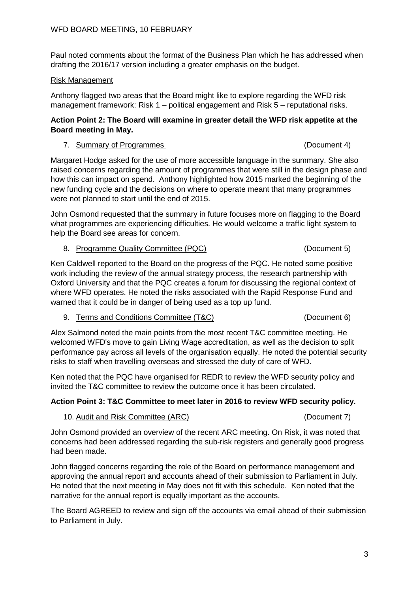Paul noted comments about the format of the Business Plan which he has addressed when drafting the 2016/17 version including a greater emphasis on the budget.

### Risk Management

Anthony flagged two areas that the Board might like to explore regarding the WFD risk management framework: Risk 1 – political engagement and Risk 5 – reputational risks.

#### **Action Point 2: The Board will examine in greater detail the WFD risk appetite at the Board meeting in May.**

#### 7. Summary of Programmes (Document 4)

Margaret Hodge asked for the use of more accessible language in the summary. She also raised concerns regarding the amount of programmes that were still in the design phase and how this can impact on spend. Anthony highlighted how 2015 marked the beginning of the new funding cycle and the decisions on where to operate meant that many programmes were not planned to start until the end of 2015.

John Osmond requested that the summary in future focuses more on flagging to the Board what programmes are experiencing difficulties. He would welcome a traffic light system to help the Board see areas for concern.

### 8. Programme Quality Committee (PQC) (Document 5)

Ken Caldwell reported to the Board on the progress of the PQC. He noted some positive work including the review of the annual strategy process, the research partnership with Oxford University and that the PQC creates a forum for discussing the regional context of where WFD operates. He noted the risks associated with the Rapid Response Fund and warned that it could be in danger of being used as a top up fund.

9. Terms and Conditions Committee (T&C) (Document 6)

Alex Salmond noted the main points from the most recent T&C committee meeting. He welcomed WFD's move to gain Living Wage accreditation, as well as the decision to split performance pay across all levels of the organisation equally. He noted the potential security risks to staff when travelling overseas and stressed the duty of care of WFD.

Ken noted that the PQC have organised for REDR to review the WFD security policy and invited the T&C committee to review the outcome once it has been circulated.

## **Action Point 3: T&C Committee to meet later in 2016 to review WFD security policy.**

## 10. Audit and Risk Committee (ARC) (Document 7)

John Osmond provided an overview of the recent ARC meeting. On Risk, it was noted that concerns had been addressed regarding the sub-risk registers and generally good progress had been made.

John flagged concerns regarding the role of the Board on performance management and approving the annual report and accounts ahead of their submission to Parliament in July. He noted that the next meeting in May does not fit with this schedule. Ken noted that the narrative for the annual report is equally important as the accounts.

The Board AGREED to review and sign off the accounts via email ahead of their submission to Parliament in July.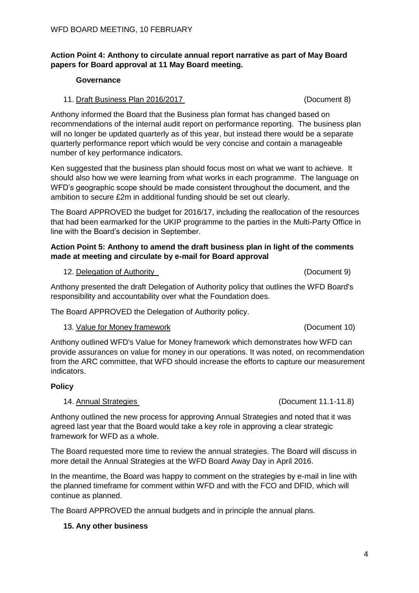4

# WFD BOARD MEETING, 10 FEBRUARY

## **Action Point 4: Anthony to circulate annual report narrative as part of May Board papers for Board approval at 11 May Board meeting.**

# **Governance**

# 11. Draft Business Plan 2016/2017 (Document 8)

Anthony informed the Board that the Business plan format has changed based on recommendations of the internal audit report on performance reporting. The business plan will no longer be updated quarterly as of this year, but instead there would be a separate quarterly performance report which would be very concise and contain a manageable number of key performance indicators.

Ken suggested that the business plan should focus most on what we want to achieve. It should also how we were learning from what works in each programme. The language on WFD's geographic scope should be made consistent throughout the document, and the ambition to secure £2m in additional funding should be set out clearly.

The Board APPROVED the budget for 2016/17, including the reallocation of the resources that had been earmarked for the UKIP programme to the parties in the Multi-Party Office in line with the Board's decision in September.

## **Action Point 5: Anthony to amend the draft business plan in light of the comments made at meeting and circulate by e-mail for Board approval**

12. Delegation of Authority **Example 20** (Document 9)

Anthony presented the draft Delegation of Authority policy that outlines the WFD Board's responsibility and accountability over what the Foundation does.

The Board APPROVED the Delegation of Authority policy.

# 13. <u>Value for Money framework</u> (Document 10)

Anthony outlined WFD's Value for Money framework which demonstrates how WFD can provide assurances on value for money in our operations. It was noted, on recommendation from the ARC committee, that WFD should increase the efforts to capture our measurement indicators.

# **Policy**

# 14. Annual Strategies (Document 11.1-11.8)

Anthony outlined the new process for approving Annual Strategies and noted that it was agreed last year that the Board would take a key role in approving a clear strategic framework for WFD as a whole.

The Board requested more time to review the annual strategies. The Board will discuss in more detail the Annual Strategies at the WFD Board Away Day in April 2016.

In the meantime, the Board was happy to comment on the strategies by e-mail in line with the planned timeframe for comment within WFD and with the FCO and DFID, which will continue as planned.

The Board APPROVED the annual budgets and in principle the annual plans.

# **15. Any other business**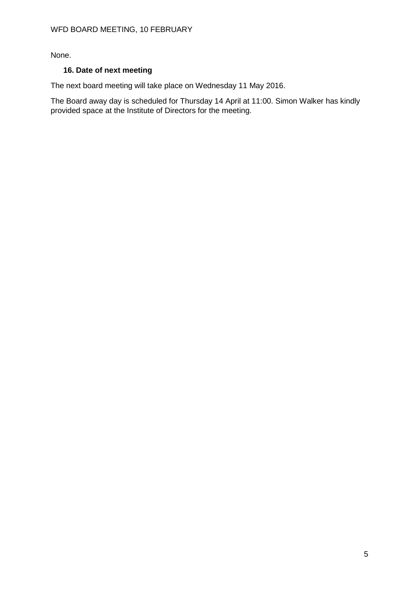None.

## **16. Date of next meeting**

The next board meeting will take place on Wednesday 11 May 2016.

The Board away day is scheduled for Thursday 14 April at 11:00. Simon Walker has kindly provided space at the Institute of Directors for the meeting.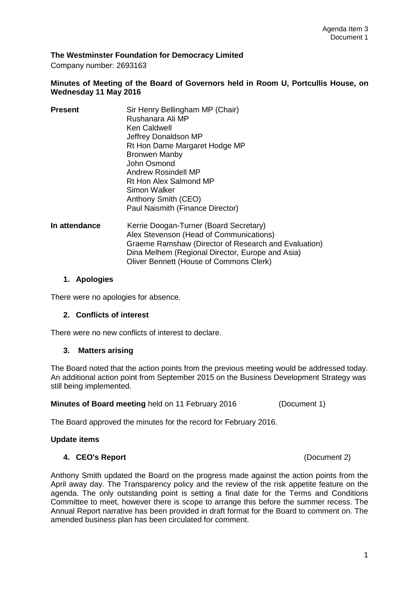#### **The Westminster Foundation for Democracy Limited**

Company number: 2693163

#### **Minutes of Meeting of the Board of Governors held in Room U, Portcullis House, on Wednesday 11 May 2016**

| <b>Present</b> | Sir Henry Bellingham MP (Chair)  |
|----------------|----------------------------------|
|                | Rushanara Ali MP                 |
|                | Ken Caldwell                     |
|                | Jeffrey Donaldson MP             |
|                | Rt Hon Dame Margaret Hodge MP    |
|                | <b>Bronwen Manby</b>             |
|                | John Osmond                      |
|                | Andrew Rosindell MP              |
|                | Rt Hon Alex Salmond MP           |
|                | Simon Walker                     |
|                | Anthony Smith (CEO)              |
|                | Paul Naismith (Finance Director) |
|                |                                  |

**In attendance Kerrie Doogan-Turner (Board Secretary)** Alex Stevenson (Head of Communications) Graeme Ramshaw (Director of Research and Evaluation) Dina Melhem (Regional Director, Europe and Asia) Oliver Bennett (House of Commons Clerk)

#### **1. Apologies**

There were no apologies for absence.

#### **2. Conflicts of interest**

There were no new conflicts of interest to declare.

#### **3. Matters arising**

The Board noted that the action points from the previous meeting would be addressed today. An additional action point from September 2015 on the Business Development Strategy was still being implemented.

**Minutes of Board meeting** held on 11 February 2016 (Document 1)

The Board approved the minutes for the record for February 2016.

#### **Update items**

#### **4. CEO's Report** (Document 2)

Anthony Smith updated the Board on the progress made against the action points from the April away day. The Transparency policy and the review of the risk appetite feature on the agenda. The only outstanding point is setting a final date for the Terms and Conditions Committee to meet, however there is scope to arrange this before the summer recess. The Annual Report narrative has been provided in draft format for the Board to comment on. The amended business plan has been circulated for comment.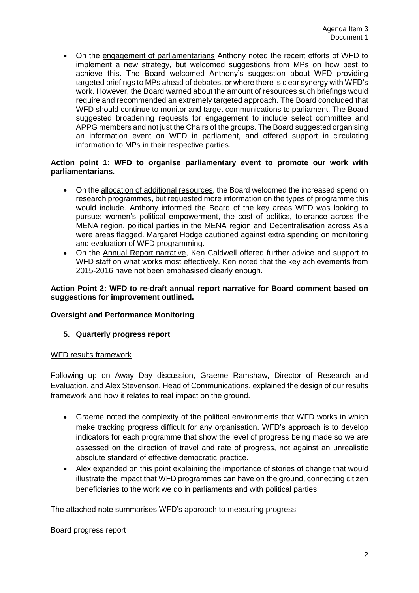• On the engagement of parliamentarians Anthony noted the recent efforts of WFD to implement a new strategy, but welcomed suggestions from MPs on how best to achieve this. The Board welcomed Anthony's suggestion about WFD providing targeted briefings to MPs ahead of debates, or where there is clear synergy with WFD's work. However, the Board warned about the amount of resources such briefings would require and recommended an extremely targeted approach. The Board concluded that WFD should continue to monitor and target communications to parliament. The Board suggested broadening requests for engagement to include select committee and APPG members and not just the Chairs of the groups. The Board suggested organising an information event on WFD in parliament, and offered support in circulating information to MPs in their respective parties.

#### **Action point 1: WFD to organise parliamentary event to promote our work with parliamentarians.**

- On the allocation of additional resources, the Board welcomed the increased spend on research programmes, but requested more information on the types of programme this would include. Anthony informed the Board of the key areas WFD was looking to pursue: women's political empowerment, the cost of politics, tolerance across the MENA region, political parties in the MENA region and Decentralisation across Asia were areas flagged. Margaret Hodge cautioned against extra spending on monitoring and evaluation of WFD programming.
- On the Annual Report narrative, Ken Caldwell offered further advice and support to WFD staff on what works most effectively. Ken noted that the key achievements from 2015-2016 have not been emphasised clearly enough.

#### **Action Point 2: WFD to re-draft annual report narrative for Board comment based on suggestions for improvement outlined.**

## **Oversight and Performance Monitoring**

#### **5. Quarterly progress report**

#### WFD results framework

Following up on Away Day discussion, Graeme Ramshaw, Director of Research and Evaluation, and Alex Stevenson, Head of Communications, explained the design of our results framework and how it relates to real impact on the ground.

- Graeme noted the complexity of the political environments that WFD works in which make tracking progress difficult for any organisation. WFD's approach is to develop indicators for each programme that show the level of progress being made so we are assessed on the direction of travel and rate of progress, not against an unrealistic absolute standard of effective democratic practice.
- Alex expanded on this point explaining the importance of stories of change that would illustrate the impact that WFD programmes can have on the ground, connecting citizen beneficiaries to the work we do in parliaments and with political parties.

The attached note summarises WFD's approach to measuring progress.

#### Board progress report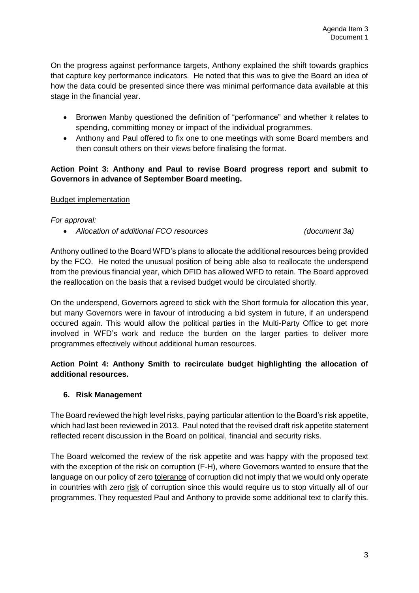On the progress against performance targets, Anthony explained the shift towards graphics that capture key performance indicators. He noted that this was to give the Board an idea of how the data could be presented since there was minimal performance data available at this stage in the financial year.

- Bronwen Manby questioned the definition of "performance" and whether it relates to spending, committing money or impact of the individual programmes.
- Anthony and Paul offered to fix one to one meetings with some Board members and then consult others on their views before finalising the format.

## **Action Point 3: Anthony and Paul to revise Board progress report and submit to Governors in advance of September Board meeting.**

## Budget implementation

*For approval:*

*Allocation of additional FCO resources (document 3a)*

Anthony outlined to the Board WFD's plans to allocate the additional resources being provided by the FCO. He noted the unusual position of being able also to reallocate the underspend from the previous financial year, which DFID has allowed WFD to retain. The Board approved the reallocation on the basis that a revised budget would be circulated shortly.

On the underspend, Governors agreed to stick with the Short formula for allocation this year, but many Governors were in favour of introducing a bid system in future, if an underspend occured again. This would allow the political parties in the Multi-Party Office to get more involved in WFD's work and reduce the burden on the larger parties to deliver more programmes effectively without additional human resources.

## **Action Point 4: Anthony Smith to recirculate budget highlighting the allocation of additional resources.**

## **6. Risk Management**

The Board reviewed the high level risks, paying particular attention to the Board's risk appetite, which had last been reviewed in 2013. Paul noted that the revised draft risk appetite statement reflected recent discussion in the Board on political, financial and security risks.

The Board welcomed the review of the risk appetite and was happy with the proposed text with the exception of the risk on corruption (F-H), where Governors wanted to ensure that the language on our policy of zero tolerance of corruption did not imply that we would only operate in countries with zero risk of corruption since this would require us to stop virtually all of our programmes. They requested Paul and Anthony to provide some additional text to clarify this.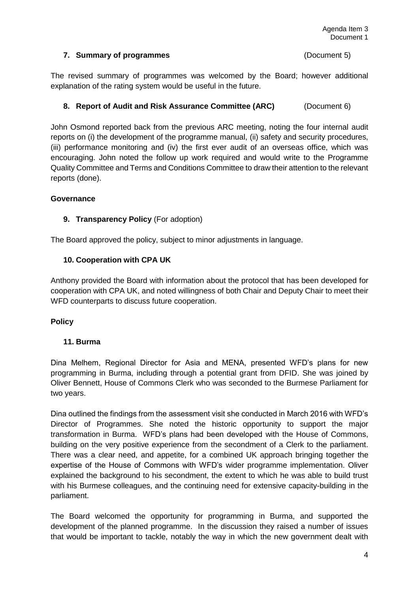#### **7. Summary of programmes** (Document 5)

The revised summary of programmes was welcomed by the Board; however additional explanation of the rating system would be useful in the future.

### **8. Report of Audit and Risk Assurance Committee (ARC)** (Document 6)

John Osmond reported back from the previous ARC meeting, noting the four internal audit reports on (i) the development of the programme manual, (ii) safety and security procedures, (iii) performance monitoring and (iv) the first ever audit of an overseas office, which was encouraging. John noted the follow up work required and would write to the Programme Quality Committee and Terms and Conditions Committee to draw their attention to the relevant reports (done).

#### **Governance**

#### **9. Transparency Policy** (For adoption)

The Board approved the policy, subject to minor adjustments in language.

#### **10. Cooperation with CPA UK**

Anthony provided the Board with information about the protocol that has been developed for cooperation with CPA UK, and noted willingness of both Chair and Deputy Chair to meet their WFD counterparts to discuss future cooperation.

#### **Policy**

#### **11. Burma**

Dina Melhem, Regional Director for Asia and MENA, presented WFD's plans for new programming in Burma, including through a potential grant from DFID. She was joined by Oliver Bennett, House of Commons Clerk who was seconded to the Burmese Parliament for two years.

Dina outlined the findings from the assessment visit she conducted in March 2016 with WFD's Director of Programmes. She noted the historic opportunity to support the major transformation in Burma. WFD's plans had been developed with the House of Commons, building on the very positive experience from the secondment of a Clerk to the parliament. There was a clear need, and appetite, for a combined UK approach bringing together the expertise of the House of Commons with WFD's wider programme implementation. Oliver explained the background to his secondment, the extent to which he was able to build trust with his Burmese colleagues, and the continuing need for extensive capacity-building in the parliament.

The Board welcomed the opportunity for programming in Burma, and supported the development of the planned programme. In the discussion they raised a number of issues that would be important to tackle, notably the way in which the new government dealt with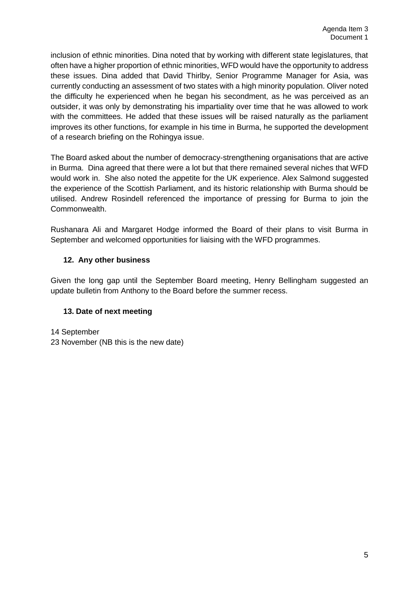inclusion of ethnic minorities. Dina noted that by working with different state legislatures, that often have a higher proportion of ethnic minorities, WFD would have the opportunity to address these issues. Dina added that David Thirlby, Senior Programme Manager for Asia, was currently conducting an assessment of two states with a high minority population. Oliver noted the difficulty he experienced when he began his secondment, as he was perceived as an outsider, it was only by demonstrating his impartiality over time that he was allowed to work with the committees. He added that these issues will be raised naturally as the parliament improves its other functions, for example in his time in Burma, he supported the development of a research briefing on the Rohingya issue.

The Board asked about the number of democracy-strengthening organisations that are active in Burma. Dina agreed that there were a lot but that there remained several niches that WFD would work in. She also noted the appetite for the UK experience. Alex Salmond suggested the experience of the Scottish Parliament, and its historic relationship with Burma should be utilised. Andrew Rosindell referenced the importance of pressing for Burma to join the Commonwealth.

Rushanara Ali and Margaret Hodge informed the Board of their plans to visit Burma in September and welcomed opportunities for liaising with the WFD programmes.

## **12. Any other business**

Given the long gap until the September Board meeting, Henry Bellingham suggested an update bulletin from Anthony to the Board before the summer recess.

## **13. Date of next meeting**

14 September 23 November (NB this is the new date)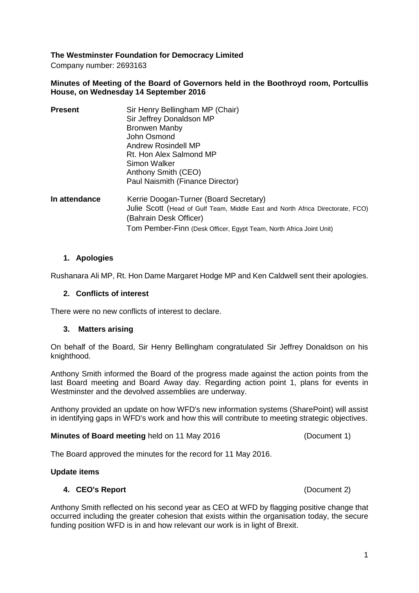## **The Westminster Foundation for Democracy Limited**

Company number: 2693163

#### **Minutes of Meeting of the Board of Governors held in the Boothroyd room, Portcullis House, on Wednesday 14 September 2016**

| <b>Present</b> | Sir Henry Bellingham MP (Chair)                                                |
|----------------|--------------------------------------------------------------------------------|
|                | Sir Jeffrey Donaldson MP                                                       |
|                | <b>Bronwen Manby</b>                                                           |
|                | John Osmond                                                                    |
|                | Andrew Rosindell MP                                                            |
|                | Rt. Hon Alex Salmond MP                                                        |
|                | Simon Walker                                                                   |
|                | Anthony Smith (CEO)                                                            |
|                | Paul Naismith (Finance Director)                                               |
| In attendance  | Kerrie Doogan-Turner (Board Secretary)                                         |
|                | Julie Scott (Head of Gulf Team, Middle East and North Africa Directorate, FCO) |
|                | (Bahrain Desk Officer)                                                         |
|                | Tom Pember-Finn (Desk Officer, Egypt Team, North Africa Joint Unit)            |
|                |                                                                                |

#### **1. Apologies**

Rushanara Ali MP, Rt. Hon Dame Margaret Hodge MP and Ken Caldwell sent their apologies.

#### **2. Conflicts of interest**

There were no new conflicts of interest to declare.

#### **3. Matters arising**

On behalf of the Board, Sir Henry Bellingham congratulated Sir Jeffrey Donaldson on his knighthood.

Anthony Smith informed the Board of the progress made against the action points from the last Board meeting and Board Away day. Regarding action point 1, plans for events in Westminster and the devolved assemblies are underway.

Anthony provided an update on how WFD's new information systems (SharePoint) will assist in identifying gaps in WFD's work and how this will contribute to meeting strategic objectives.

#### **Minutes of Board meeting** held on 11 May 2016 (Document 1)

The Board approved the minutes for the record for 11 May 2016.

#### **Update items**

#### **4. CEO's Report** (Document 2)

Anthony Smith reflected on his second year as CEO at WFD by flagging positive change that occurred including the greater cohesion that exists within the organisation today, the secure funding position WFD is in and how relevant our work is in light of Brexit.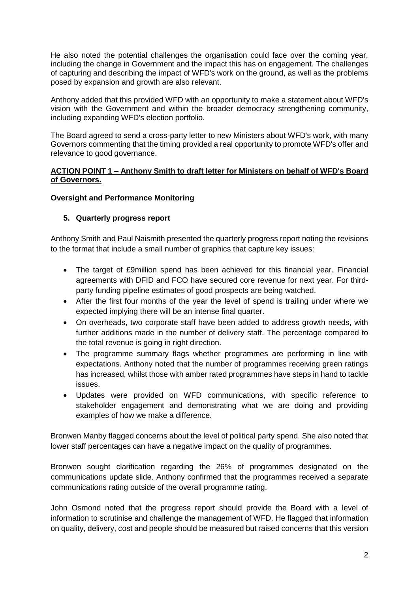He also noted the potential challenges the organisation could face over the coming year, including the change in Government and the impact this has on engagement. The challenges of capturing and describing the impact of WFD's work on the ground, as well as the problems posed by expansion and growth are also relevant.

Anthony added that this provided WFD with an opportunity to make a statement about WFD's vision with the Government and within the broader democracy strengthening community, including expanding WFD's election portfolio.

The Board agreed to send a cross-party letter to new Ministers about WFD's work, with many Governors commenting that the timing provided a real opportunity to promote WFD's offer and relevance to good governance.

### **ACTION POINT 1 – Anthony Smith to draft letter for Ministers on behalf of WFD's Board of Governors.**

### **Oversight and Performance Monitoring**

### **5. Quarterly progress report**

Anthony Smith and Paul Naismith presented the quarterly progress report noting the revisions to the format that include a small number of graphics that capture key issues:

- The target of £9million spend has been achieved for this financial year. Financial agreements with DFID and FCO have secured core revenue for next year. For thirdparty funding pipeline estimates of good prospects are being watched.
- After the first four months of the year the level of spend is trailing under where we expected implying there will be an intense final quarter.
- On overheads, two corporate staff have been added to address growth needs, with further additions made in the number of delivery staff. The percentage compared to the total revenue is going in right direction.
- The programme summary flags whether programmes are performing in line with expectations. Anthony noted that the number of programmes receiving green ratings has increased, whilst those with amber rated programmes have steps in hand to tackle issues.
- Updates were provided on WFD communications, with specific reference to stakeholder engagement and demonstrating what we are doing and providing examples of how we make a difference.

Bronwen Manby flagged concerns about the level of political party spend. She also noted that lower staff percentages can have a negative impact on the quality of programmes.

Bronwen sought clarification regarding the 26% of programmes designated on the communications update slide. Anthony confirmed that the programmes received a separate communications rating outside of the overall programme rating.

John Osmond noted that the progress report should provide the Board with a level of information to scrutinise and challenge the management of WFD. He flagged that information on quality, delivery, cost and people should be measured but raised concerns that this version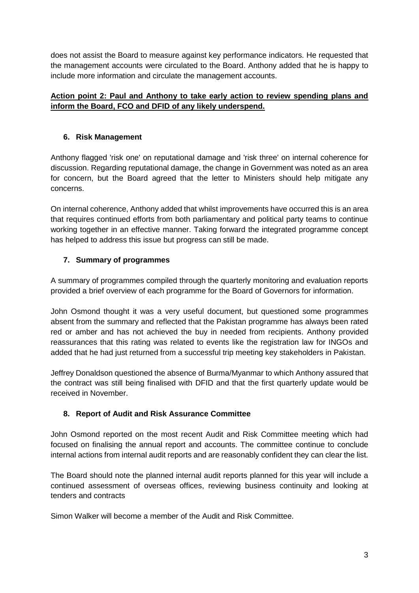does not assist the Board to measure against key performance indicators. He requested that the management accounts were circulated to the Board. Anthony added that he is happy to include more information and circulate the management accounts.

## **Action point 2: Paul and Anthony to take early action to review spending plans and inform the Board, FCO and DFID of any likely underspend.**

## **6. Risk Management**

Anthony flagged 'risk one' on reputational damage and 'risk three' on internal coherence for discussion. Regarding reputational damage, the change in Government was noted as an area for concern, but the Board agreed that the letter to Ministers should help mitigate any concerns.

On internal coherence, Anthony added that whilst improvements have occurred this is an area that requires continued efforts from both parliamentary and political party teams to continue working together in an effective manner. Taking forward the integrated programme concept has helped to address this issue but progress can still be made.

## **7. Summary of programmes**

A summary of programmes compiled through the quarterly monitoring and evaluation reports provided a brief overview of each programme for the Board of Governors for information.

John Osmond thought it was a very useful document, but questioned some programmes absent from the summary and reflected that the Pakistan programme has always been rated red or amber and has not achieved the buy in needed from recipients. Anthony provided reassurances that this rating was related to events like the registration law for INGOs and added that he had just returned from a successful trip meeting key stakeholders in Pakistan.

Jeffrey Donaldson questioned the absence of Burma/Myanmar to which Anthony assured that the contract was still being finalised with DFID and that the first quarterly update would be received in November.

## **8. Report of Audit and Risk Assurance Committee**

John Osmond reported on the most recent Audit and Risk Committee meeting which had focused on finalising the annual report and accounts. The committee continue to conclude internal actions from internal audit reports and are reasonably confident they can clear the list.

The Board should note the planned internal audit reports planned for this year will include a continued assessment of overseas offices, reviewing business continuity and looking at tenders and contracts

Simon Walker will become a member of the Audit and Risk Committee.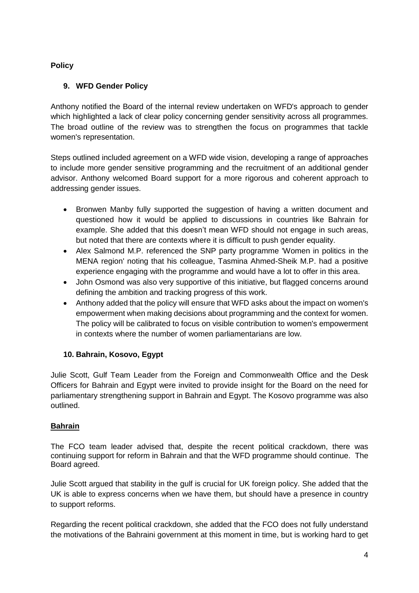## **Policy**

## **9. WFD Gender Policy**

Anthony notified the Board of the internal review undertaken on WFD's approach to gender which highlighted a lack of clear policy concerning gender sensitivity across all programmes. The broad outline of the review was to strengthen the focus on programmes that tackle women's representation.

Steps outlined included agreement on a WFD wide vision, developing a range of approaches to include more gender sensitive programming and the recruitment of an additional gender advisor. Anthony welcomed Board support for a more rigorous and coherent approach to addressing gender issues.

- Bronwen Manby fully supported the suggestion of having a written document and questioned how it would be applied to discussions in countries like Bahrain for example. She added that this doesn't mean WFD should not engage in such areas, but noted that there are contexts where it is difficult to push gender equality.
- Alex Salmond M.P. referenced the SNP party programme 'Women in politics in the MENA region' noting that his colleague, Tasmina Ahmed-Sheik M.P. had a positive experience engaging with the programme and would have a lot to offer in this area.
- John Osmond was also very supportive of this initiative, but flagged concerns around defining the ambition and tracking progress of this work.
- Anthony added that the policy will ensure that WFD asks about the impact on women's empowerment when making decisions about programming and the context for women. The policy will be calibrated to focus on visible contribution to women's empowerment in contexts where the number of women parliamentarians are low.

## **10. Bahrain, Kosovo, Egypt**

Julie Scott, Gulf Team Leader from the Foreign and Commonwealth Office and the Desk Officers for Bahrain and Egypt were invited to provide insight for the Board on the need for parliamentary strengthening support in Bahrain and Egypt. The Kosovo programme was also outlined.

## **Bahrain**

The FCO team leader advised that, despite the recent political crackdown, there was continuing support for reform in Bahrain and that the WFD programme should continue. The Board agreed.

Julie Scott argued that stability in the gulf is crucial for UK foreign policy. She added that the UK is able to express concerns when we have them, but should have a presence in country to support reforms.

Regarding the recent political crackdown, she added that the FCO does not fully understand the motivations of the Bahraini government at this moment in time, but is working hard to get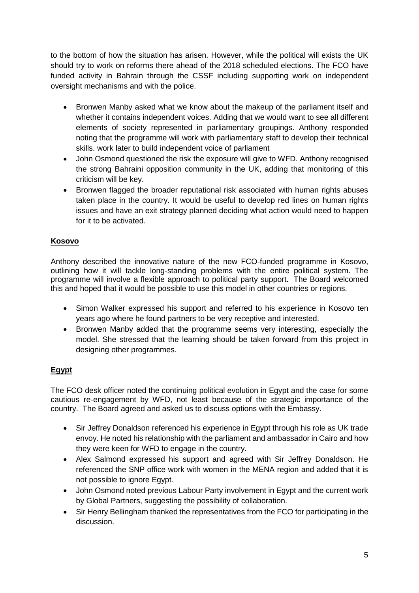to the bottom of how the situation has arisen. However, while the political will exists the UK should try to work on reforms there ahead of the 2018 scheduled elections. The FCO have funded activity in Bahrain through the CSSF including supporting work on independent oversight mechanisms and with the police.

- Bronwen Manby asked what we know about the makeup of the parliament itself and whether it contains independent voices. Adding that we would want to see all different elements of society represented in parliamentary groupings. Anthony responded noting that the programme will work with parliamentary staff to develop their technical skills. work later to build independent voice of parliament
- John Osmond questioned the risk the exposure will give to WFD. Anthony recognised the strong Bahraini opposition community in the UK, adding that monitoring of this criticism will be key.
- Bronwen flagged the broader reputational risk associated with human rights abuses taken place in the country. It would be useful to develop red lines on human rights issues and have an exit strategy planned deciding what action would need to happen for it to be activated.

## **Kosovo**

Anthony described the innovative nature of the new FCO-funded programme in Kosovo, outlining how it will tackle long-standing problems with the entire political system. The programme will involve a flexible approach to political party support. The Board welcomed this and hoped that it would be possible to use this model in other countries or regions.

- Simon Walker expressed his support and referred to his experience in Kosovo ten years ago where he found partners to be very receptive and interested.
- Bronwen Manby added that the programme seems very interesting, especially the model. She stressed that the learning should be taken forward from this project in designing other programmes.

## **Egypt**

The FCO desk officer noted the continuing political evolution in Egypt and the case for some cautious re-engagement by WFD, not least because of the strategic importance of the country. The Board agreed and asked us to discuss options with the Embassy.

- Sir Jeffrey Donaldson referenced his experience in Egypt through his role as UK trade envoy. He noted his relationship with the parliament and ambassador in Cairo and how they were keen for WFD to engage in the country.
- Alex Salmond expressed his support and agreed with Sir Jeffrey Donaldson. He referenced the SNP office work with women in the MENA region and added that it is not possible to ignore Egypt.
- John Osmond noted previous Labour Party involvement in Egypt and the current work by Global Partners, suggesting the possibility of collaboration.
- Sir Henry Bellingham thanked the representatives from the FCO for participating in the discussion.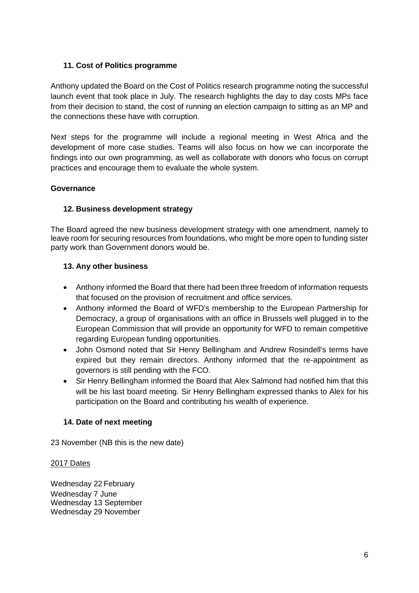## **11. Cost of Politics programme**

Anthony updated the Board on the Cost of Politics research programme noting the successful launch event that took place in July. The research highlights the day to day costs MPs face from their decision to stand, the cost of running an election campaign to sitting as an MP and the connections these have with corruption.

Next steps for the programme will include a regional meeting in West Africa and the development of more case studies. Teams will also focus on how we can incorporate the findings into our own programming, as well as collaborate with donors who focus on corrupt practices and encourage them to evaluate the whole system.

### **Governance**

### **12. Business development strategy**

The Board agreed the new business development strategy with one amendment, namely to leave room for securing resources from foundations, who might be more open to funding sister party work than Government donors would be.

### **13. Any other business**

- Anthony informed the Board that there had been three freedom of information requests that focused on the provision of recruitment and office services.
- Anthony informed the Board of WFD's membership to the European Partnership for Democracy, a group of organisations with an office in Brussels well plugged in to the European Commission that will provide an opportunity for WFD to remain competitive regarding European funding opportunities.
- John Osmond noted that Sir Henry Bellingham and Andrew Rosindell's terms have expired but they remain directors. Anthony informed that the re-appointment as governors is still pending with the FCO.
- Sir Henry Bellingham informed the Board that Alex Salmond had notified him that this will be his last board meeting. Sir Henry Bellingham expressed thanks to Alex for his participation on the Board and contributing his wealth of experience.

## **14. Date of next meeting**

23 November (NB this is the new date)

#### 2017 Dates

Wednesday 22 February Wednesday 7 June Wednesday 13 September Wednesday 29 November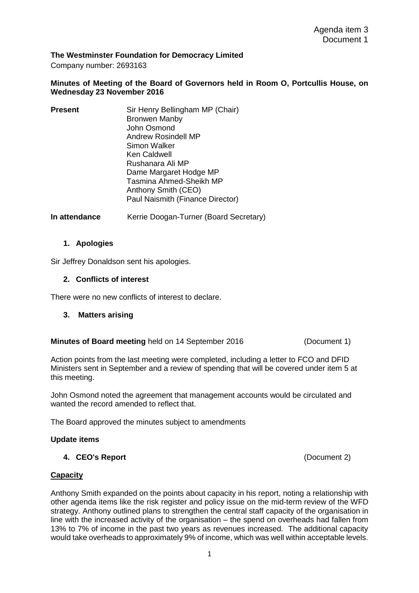#### **The Westminster Foundation for Democracy Limited**

Company number: 2693163

#### **Minutes of Meeting of the Board of Governors held in Room O, Portcullis House, on Wednesday 23 November 2016**

| <b>Present</b> | Sir Henry Bellingham MP (Chair)  |
|----------------|----------------------------------|
|                | <b>Bronwen Manby</b>             |
|                | John Osmond                      |
|                | Andrew Rosindell MP              |
|                | Simon Walker                     |
|                | <b>Ken Caldwell</b>              |
|                | Rushanara Ali MP                 |
|                | Dame Margaret Hodge MP           |
|                | Tasmina Ahmed-Sheikh MP          |
|                | Anthony Smith (CEO)              |
|                | Paul Naismith (Finance Director) |
|                |                                  |

**In attendance Kerrie Doogan-Turner (Board Secretary)** 

#### **1. Apologies**

Sir Jeffrey Donaldson sent his apologies.

#### **2. Conflicts of interest**

There were no new conflicts of interest to declare.

**3. Matters arising** 

#### **Minutes of Board meeting** held on 14 September 2016 (Document 1)

Action points from the last meeting were completed, including a letter to FCO and DFID Ministers sent in September and a review of spending that will be covered under item 5 at this meeting.

John Osmond noted the agreement that management accounts would be circulated and wanted the record amended to reflect that.

The Board approved the minutes subject to amendments

#### **Update items**

**4. CEO's Report** (Document 2)

#### **Capacity**

Anthony Smith expanded on the points about capacity in his report, noting a relationship with other agenda items like the risk register and policy issue on the mid-term review of the WFD strategy. Anthony outlined plans to strengthen the central staff capacity of the organisation in line with the increased activity of the organisation – the spend on overheads had fallen from 13% to 7% of income in the past two years as revenues increased. The additional capacity would take overheads to approximately 9% of income, which was well within acceptable levels.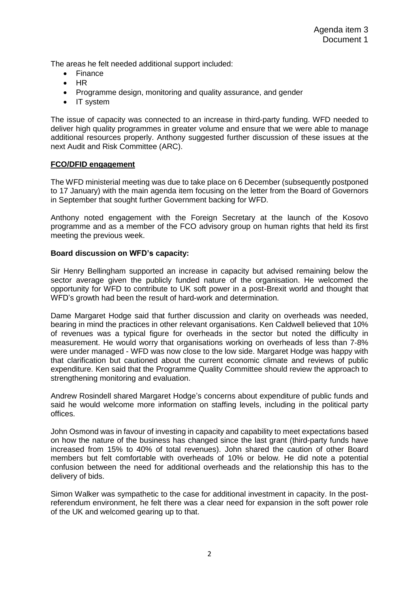The areas he felt needed additional support included:

- Finance
- HR
- Programme design, monitoring and quality assurance, and gender
- IT system

The issue of capacity was connected to an increase in third-party funding. WFD needed to deliver high quality programmes in greater volume and ensure that we were able to manage additional resources properly. Anthony suggested further discussion of these issues at the next Audit and Risk Committee (ARC).

#### **FCO/DFID engagement**

The WFD ministerial meeting was due to take place on 6 December (subsequently postponed to 17 January) with the main agenda item focusing on the letter from the Board of Governors in September that sought further Government backing for WFD.

Anthony noted engagement with the Foreign Secretary at the launch of the Kosovo programme and as a member of the FCO advisory group on human rights that held its first meeting the previous week.

#### **Board discussion on WFD's capacity:**

Sir Henry Bellingham supported an increase in capacity but advised remaining below the sector average given the publicly funded nature of the organisation. He welcomed the opportunity for WFD to contribute to UK soft power in a post-Brexit world and thought that WFD's growth had been the result of hard-work and determination.

Dame Margaret Hodge said that further discussion and clarity on overheads was needed, bearing in mind the practices in other relevant organisations. Ken Caldwell believed that 10% of revenues was a typical figure for overheads in the sector but noted the difficulty in measurement. He would worry that organisations working on overheads of less than 7-8% were under managed - WFD was now close to the low side. Margaret Hodge was happy with that clarification but cautioned about the current economic climate and reviews of public expenditure. Ken said that the Programme Quality Committee should review the approach to strengthening monitoring and evaluation.

Andrew Rosindell shared Margaret Hodge's concerns about expenditure of public funds and said he would welcome more information on staffing levels, including in the political party offices.

John Osmond was in favour of investing in capacity and capability to meet expectations based on how the nature of the business has changed since the last grant (third-party funds have increased from 15% to 40% of total revenues). John shared the caution of other Board members but felt comfortable with overheads of 10% or below. He did note a potential confusion between the need for additional overheads and the relationship this has to the delivery of bids.

Simon Walker was sympathetic to the case for additional investment in capacity. In the postreferendum environment, he felt there was a clear need for expansion in the soft power role of the UK and welcomed gearing up to that.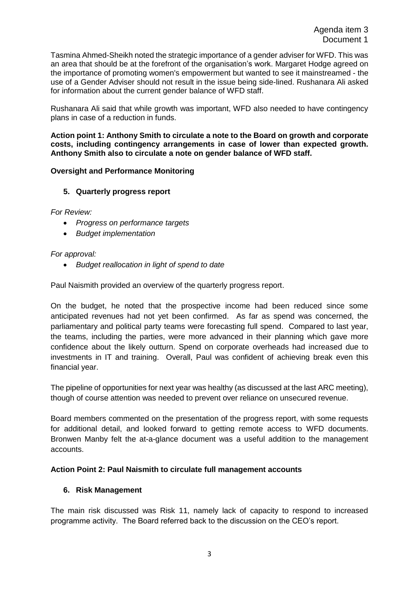Tasmina Ahmed-Sheikh noted the strategic importance of a gender adviser for WFD. This was an area that should be at the forefront of the organisation's work. Margaret Hodge agreed on the importance of promoting women's empowerment but wanted to see it mainstreamed - the use of a Gender Adviser should not result in the issue being side-lined. Rushanara Ali asked for information about the current gender balance of WFD staff.

Rushanara Ali said that while growth was important, WFD also needed to have contingency plans in case of a reduction in funds.

**Action point 1: Anthony Smith to circulate a note to the Board on growth and corporate costs, including contingency arrangements in case of lower than expected growth. Anthony Smith also to circulate a note on gender balance of WFD staff.**

#### **Oversight and Performance Monitoring**

#### **5. Quarterly progress report**

*For Review:*

- *Progress on performance targets*
- *Budget implementation*

#### *For approval:*

*Budget reallocation in light of spend to date*

Paul Naismith provided an overview of the quarterly progress report.

On the budget, he noted that the prospective income had been reduced since some anticipated revenues had not yet been confirmed. As far as spend was concerned, the parliamentary and political party teams were forecasting full spend. Compared to last year, the teams, including the parties, were more advanced in their planning which gave more confidence about the likely outturn. Spend on corporate overheads had increased due to investments in IT and training. Overall, Paul was confident of achieving break even this financial year.

The pipeline of opportunities for next year was healthy (as discussed at the last ARC meeting), though of course attention was needed to prevent over reliance on unsecured revenue.

Board members commented on the presentation of the progress report, with some requests for additional detail, and looked forward to getting remote access to WFD documents. Bronwen Manby felt the at-a-glance document was a useful addition to the management accounts.

#### **Action Point 2: Paul Naismith to circulate full management accounts**

#### **6. Risk Management**

The main risk discussed was Risk 11, namely lack of capacity to respond to increased programme activity. The Board referred back to the discussion on the CEO's report.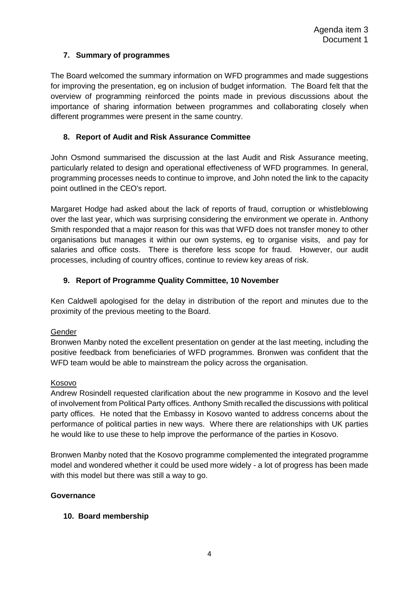## **7. Summary of programmes**

The Board welcomed the summary information on WFD programmes and made suggestions for improving the presentation, eg on inclusion of budget information. The Board felt that the overview of programming reinforced the points made in previous discussions about the importance of sharing information between programmes and collaborating closely when different programmes were present in the same country.

## **8. Report of Audit and Risk Assurance Committee**

John Osmond summarised the discussion at the last Audit and Risk Assurance meeting, particularly related to design and operational effectiveness of WFD programmes. In general, programming processes needs to continue to improve, and John noted the link to the capacity point outlined in the CEO's report.

Margaret Hodge had asked about the lack of reports of fraud, corruption or whistleblowing over the last year, which was surprising considering the environment we operate in. Anthony Smith responded that a major reason for this was that WFD does not transfer money to other organisations but manages it within our own systems, eg to organise visits, and pay for salaries and office costs. There is therefore less scope for fraud. However, our audit processes, including of country offices, continue to review key areas of risk.

## **9. Report of Programme Quality Committee, 10 November**

Ken Caldwell apologised for the delay in distribution of the report and minutes due to the proximity of the previous meeting to the Board.

#### **Gender**

Bronwen Manby noted the excellent presentation on gender at the last meeting, including the positive feedback from beneficiaries of WFD programmes. Bronwen was confident that the WFD team would be able to mainstream the policy across the organisation.

#### Kosovo

Andrew Rosindell requested clarification about the new programme in Kosovo and the level of involvement from Political Party offices. Anthony Smith recalled the discussions with political party offices. He noted that the Embassy in Kosovo wanted to address concerns about the performance of political parties in new ways. Where there are relationships with UK parties he would like to use these to help improve the performance of the parties in Kosovo.

Bronwen Manby noted that the Kosovo programme complemented the integrated programme model and wondered whether it could be used more widely - a lot of progress has been made with this model but there was still a way to go.

#### **Governance**

#### **10. Board membership**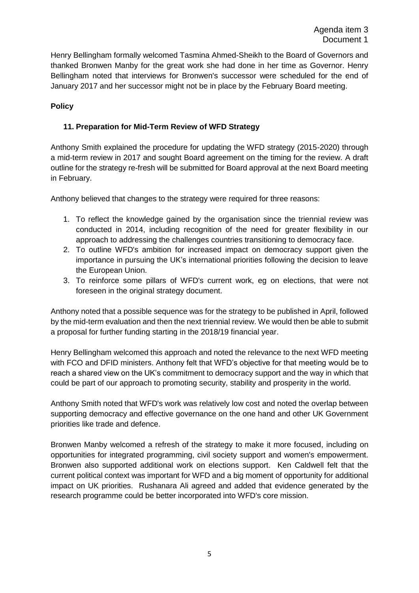Henry Bellingham formally welcomed Tasmina Ahmed-Sheikh to the Board of Governors and thanked Bronwen Manby for the great work she had done in her time as Governor. Henry Bellingham noted that interviews for Bronwen's successor were scheduled for the end of January 2017 and her successor might not be in place by the February Board meeting.

## **Policy**

## **11. Preparation for Mid-Term Review of WFD Strategy**

Anthony Smith explained the procedure for updating the WFD strategy (2015-2020) through a mid-term review in 2017 and sought Board agreement on the timing for the review. A draft outline for the strategy re-fresh will be submitted for Board approval at the next Board meeting in February.

Anthony believed that changes to the strategy were required for three reasons:

- 1. To reflect the knowledge gained by the organisation since the triennial review was conducted in 2014, including recognition of the need for greater flexibility in our approach to addressing the challenges countries transitioning to democracy face.
- 2. To outline WFD's ambition for increased impact on democracy support given the importance in pursuing the UK's international priorities following the decision to leave the European Union.
- 3. To reinforce some pillars of WFD's current work, eg on elections, that were not foreseen in the original strategy document.

Anthony noted that a possible sequence was for the strategy to be published in April, followed by the mid-term evaluation and then the next triennial review. We would then be able to submit a proposal for further funding starting in the 2018/19 financial year.

Henry Bellingham welcomed this approach and noted the relevance to the next WFD meeting with FCO and DFID ministers. Anthony felt that WFD's objective for that meeting would be to reach a shared view on the UK's commitment to democracy support and the way in which that could be part of our approach to promoting security, stability and prosperity in the world.

Anthony Smith noted that WFD's work was relatively low cost and noted the overlap between supporting democracy and effective governance on the one hand and other UK Government priorities like trade and defence.

Bronwen Manby welcomed a refresh of the strategy to make it more focused, including on opportunities for integrated programming, civil society support and women's empowerment. Bronwen also supported additional work on elections support. Ken Caldwell felt that the current political context was important for WFD and a big moment of opportunity for additional impact on UK priorities. Rushanara Ali agreed and added that evidence generated by the research programme could be better incorporated into WFD's core mission.